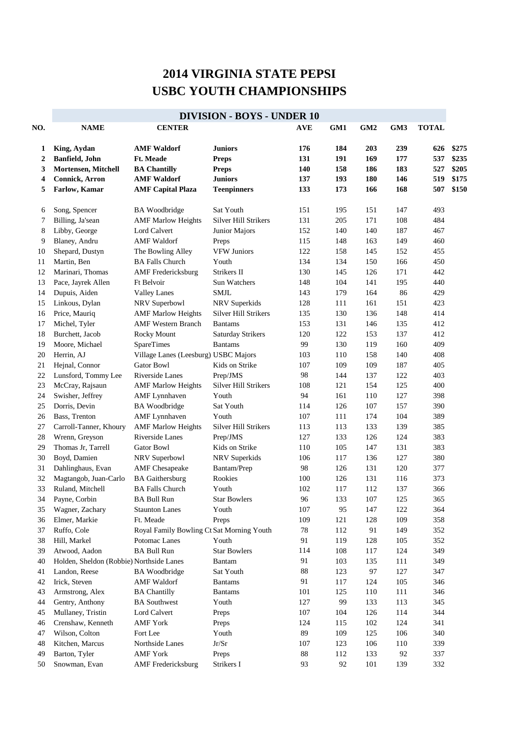## **2014 VIRGINIA STATE PEPSI USBC YOUTH CHAMPIONSHIPS**

|     | <b>DIVISION - BOYS - UNDER 10</b>        |                                           |                             |            |     |     |     |              |       |  |  |
|-----|------------------------------------------|-------------------------------------------|-----------------------------|------------|-----|-----|-----|--------------|-------|--|--|
| NO. | <b>NAME</b>                              | <b>CENTER</b>                             |                             | <b>AVE</b> | GM1 | GM2 | GM3 | <b>TOTAL</b> |       |  |  |
| 1   | King, Aydan                              | <b>AMF Waldorf</b>                        | <b>Juniors</b>              | 176        | 184 | 203 | 239 | 626          | \$275 |  |  |
| 2   | <b>Banfield</b> , John                   | Ft. Meade                                 | <b>Preps</b>                | 131        | 191 | 169 | 177 | 537          | \$235 |  |  |
| 3   | <b>Mortensen, Mitchell</b>               | <b>BA Chantilly</b>                       | <b>Preps</b>                | 140        | 158 | 186 | 183 | 527          | \$205 |  |  |
| 4   | <b>Connick, Arron</b>                    | <b>AMF Waldorf</b>                        | <b>Juniors</b>              | 137        | 193 | 180 | 146 | 519          | \$175 |  |  |
| 5   | Farlow, Kamar                            | <b>AMF Capital Plaza</b>                  | <b>Teenpinners</b>          | 133        | 173 | 166 | 168 | 507          | \$150 |  |  |
| 6   | Song, Spencer                            | <b>BA</b> Woodbridge                      | Sat Youth                   | 151        | 195 | 151 | 147 | 493          |       |  |  |
| 7   | Billing, Ja'sean                         | <b>AMF Marlow Heights</b>                 | <b>Silver Hill Strikers</b> | 131        | 205 | 171 | 108 | 484          |       |  |  |
| 8   | Libby, George                            | Lord Calvert                              | Junior Majors               | 152        | 140 | 140 | 187 | 467          |       |  |  |
| 9   | Blaney, Andru                            | <b>AMF</b> Waldorf                        | Preps                       | 115        | 148 | 163 | 149 | 460          |       |  |  |
| 10  | Shepard, Dustyn                          | The Bowling Alley                         | <b>VFW Juniors</b>          | 122        | 158 | 145 | 152 | 455          |       |  |  |
| 11  | Martin, Ben                              | <b>BA Falls Church</b>                    | Youth                       | 134        | 134 | 150 | 166 | 450          |       |  |  |
| 12  | Marinari, Thomas                         | <b>AMF</b> Fredericksburg                 | Strikers II                 | 130        | 145 | 126 | 171 | 442          |       |  |  |
| 13  | Pace, Jayrek Allen                       | Ft Belvoir                                | <b>Sun Watchers</b>         | 148        | 104 | 141 | 195 | 440          |       |  |  |
| 14  | Dupuis, Aiden                            | <b>Valley Lanes</b>                       | <b>SMJL</b>                 | 143        | 179 | 164 | 86  | 429          |       |  |  |
| 15  | Linkous, Dylan                           | NRV Superbowl                             | NRV Superkids               | 128        | 111 | 161 | 151 | 423          |       |  |  |
| 16  | Price, Mauriq                            | <b>AMF Marlow Heights</b>                 | <b>Silver Hill Strikers</b> | 135        | 130 | 136 | 148 | 414          |       |  |  |
| 17  | Michel, Tyler                            | <b>AMF Western Branch</b>                 | <b>Bantams</b>              | 153        | 131 | 146 | 135 | 412          |       |  |  |
| 18  | Burchett, Jacob                          | Rocky Mount                               | <b>Saturday Strikers</b>    | 120        | 122 | 153 | 137 | 412          |       |  |  |
| 19  | Moore, Michael                           | SpareTimes                                | <b>Bantams</b>              | 99         | 130 | 119 | 160 | 409          |       |  |  |
| 20  | Herrin, AJ                               | Village Lanes (Leesburg) USBC Majors      |                             | 103        | 110 | 158 | 140 | 408          |       |  |  |
| 21  | Hejnal, Connor                           | Gator Bowl                                | Kids on Strike              | 107        | 109 | 109 | 187 | 405          |       |  |  |
| 22  | Lunsford, Tommy Lee                      | Riverside Lanes                           | Prep/JMS                    | 98         | 144 | 137 | 122 | 403          |       |  |  |
| 23  | McCray, Rajsaun                          | <b>AMF Marlow Heights</b>                 | <b>Silver Hill Strikers</b> | 108        | 121 | 154 | 125 | 400          |       |  |  |
| 24  | Swisher, Jeffrey                         | <b>AMF</b> Lynnhaven                      | Youth                       | 94         | 161 | 110 | 127 | 398          |       |  |  |
| 25  | Dorris, Devin                            | <b>BA</b> Woodbridge                      | Sat Youth                   | 114        | 126 | 107 | 157 | 390          |       |  |  |
| 26  | Bass, Trenton                            | <b>AMF</b> Lynnhaven                      | Youth                       | 107        | 111 | 174 | 104 | 389          |       |  |  |
| 27  | Carroll-Tanner, Khoury                   | <b>AMF Marlow Heights</b>                 | Silver Hill Strikers        | 113        | 113 | 133 | 139 | 385          |       |  |  |
| 28  | Wrenn, Greyson                           | <b>Riverside Lanes</b>                    | Prep/JMS                    | 127        | 133 | 126 | 124 | 383          |       |  |  |
| 29  | Thomas Jr, Tarrell                       | Gator Bowl                                | Kids on Strike              | 110        | 105 | 147 | 131 | 383          |       |  |  |
| 30  | Boyd, Damien                             | NRV Superbowl                             | NRV Superkids               | 106        | 117 | 136 | 127 | 380          |       |  |  |
| 31  | Dahlinghaus, Evan                        | <b>AMF</b> Chesapeake                     | Bantam/Prep                 | 98         | 126 | 131 | 120 | 377          |       |  |  |
| 32  | Magtangob, Juan-Carlo                    | <b>BA</b> Gaithersburg                    | Rookies                     | 100        | 126 | 131 | 116 | 373          |       |  |  |
| 33  | Ruland, Mitchell                         | <b>BA Falls Church</b>                    | Youth                       | 102        | 117 | 112 | 137 | 366          |       |  |  |
| 34  | Payne, Corbin                            | <b>BA Bull Run</b>                        | <b>Star Bowlers</b>         | 96         | 133 | 107 | 125 | 365          |       |  |  |
| 35  | Wagner, Zachary                          | <b>Staunton Lanes</b>                     | Youth                       | $107\,$    | 95  | 147 | 122 | 364          |       |  |  |
| 36  | Elmer, Markie                            | Ft. Meade                                 | Preps                       | 109        | 121 | 128 | 109 | 358          |       |  |  |
| 37  | Ruffo, Cole                              | Royal Family Bowling Ct Sat Morning Youth |                             | $78\,$     | 112 | 91  | 149 | 352          |       |  |  |
| 38  | Hill, Markel                             | Potomac Lanes                             | Youth                       | 91         | 119 | 128 | 105 | 352          |       |  |  |
| 39  | Atwood, Aadon                            | <b>BA Bull Run</b>                        | <b>Star Bowlers</b>         | 114        | 108 | 117 | 124 | 349          |       |  |  |
| 40  | Holden, Sheldon (Robbie) Northside Lanes |                                           | Bantam                      | 91         | 103 | 135 | 111 | 349          |       |  |  |
| 41  | Landon, Reese                            | <b>BA</b> Woodbridge                      | Sat Youth                   | $88\,$     | 123 | 97  | 127 | 347          |       |  |  |
| 42  | Irick, Steven                            | <b>AMF Waldorf</b>                        | <b>Bantams</b>              | 91         | 117 | 124 | 105 | 346          |       |  |  |
| 43  | Armstrong, Alex                          | <b>BA Chantilly</b>                       | <b>Bantams</b>              | 101        | 125 | 110 | 111 | 346          |       |  |  |
| 44  | Gentry, Anthony                          | <b>BA</b> Southwest                       | Youth                       | 127        | 99  | 133 | 113 | 345          |       |  |  |
| 45  | Mullaney, Tristin                        | Lord Calvert                              | Preps                       | 107        | 104 | 126 | 114 | 344          |       |  |  |
| 46  | Crenshaw, Kenneth                        | <b>AMF York</b>                           | Preps                       | 124        | 115 | 102 | 124 | 341          |       |  |  |
| 47  | Wilson, Colton                           | Fort Lee                                  | Youth                       | 89         | 109 | 125 | 106 | 340          |       |  |  |
| 48  | Kitchen, Marcus                          | Northside Lanes                           | Jr/Sr                       | 107        | 123 | 106 | 110 | 339          |       |  |  |
| 49  | Barton, Tyler                            | <b>AMF York</b>                           | Preps                       | $88\,$     | 112 | 133 | 92  | 337          |       |  |  |
| 50  | Snowman, Evan                            | <b>AMF</b> Fredericksburg                 | Strikers I                  | 93         | 92  | 101 | 139 | 332          |       |  |  |